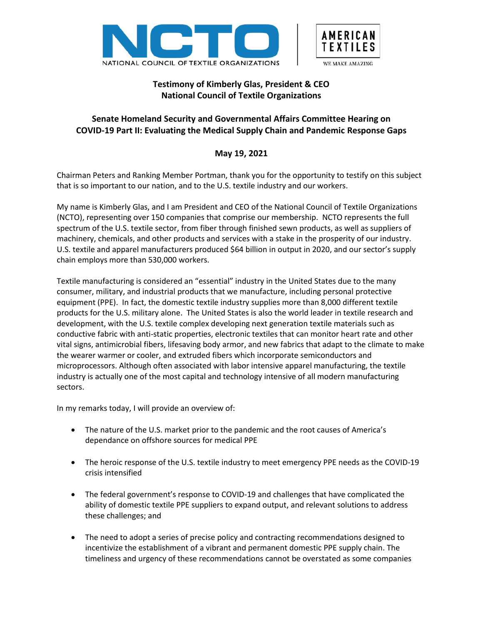



# **Testimony of Kimberly Glas, President & CEO National Council of Textile Organizations**

# **Senate Homeland Security and Governmental Affairs Committee Hearing on COVID-19 Part II: Evaluating the Medical Supply Chain and Pandemic Response Gaps**

## **May 19, 2021**

Chairman Peters and Ranking Member Portman, thank you for the opportunity to testify on this subject that is so important to our nation, and to the U.S. textile industry and our workers.

My name is Kimberly Glas, and I am President and CEO of the National Council of Textile Organizations (NCTO), representing over 150 companies that comprise our membership. NCTO represents the full spectrum of the U.S. textile sector, from fiber through finished sewn products, as well as suppliers of machinery, chemicals, and other products and services with a stake in the prosperity of our industry. U.S. textile and apparel manufacturers produced \$64 billion in output in 2020, and our sector's supply chain employs more than 530,000 workers.

Textile manufacturing is considered an "essential" industry in the United States due to the many consumer, military, and industrial products that we manufacture, including personal protective equipment (PPE). In fact, the domestic textile industry supplies more than 8,000 different textile products for the U.S. military alone. The United States is also the world leader in textile research and development, with the U.S. textile complex developing next generation textile materials such as conductive fabric with anti-static properties, electronic textiles that can monitor heart rate and other vital signs, antimicrobial fibers, lifesaving body armor, and new fabrics that adapt to the climate to make the wearer warmer or cooler, and extruded fibers which incorporate semiconductors and microprocessors. Although often associated with labor intensive apparel manufacturing, the textile industry is actually one of the most capital and technology intensive of all modern manufacturing sectors.

In my remarks today, I will provide an overview of:

- The nature of the U.S. market prior to the pandemic and the root causes of America's dependance on offshore sources for medical PPE
- The heroic response of the U.S. textile industry to meet emergency PPE needs as the COVID-19 crisis intensified
- The federal government's response to COVID-19 and challenges that have complicated the ability of domestic textile PPE suppliers to expand output, and relevant solutions to address these challenges; and
- The need to adopt a series of precise policy and contracting recommendations designed to incentivize the establishment of a vibrant and permanent domestic PPE supply chain. The timeliness and urgency of these recommendations cannot be overstated as some companies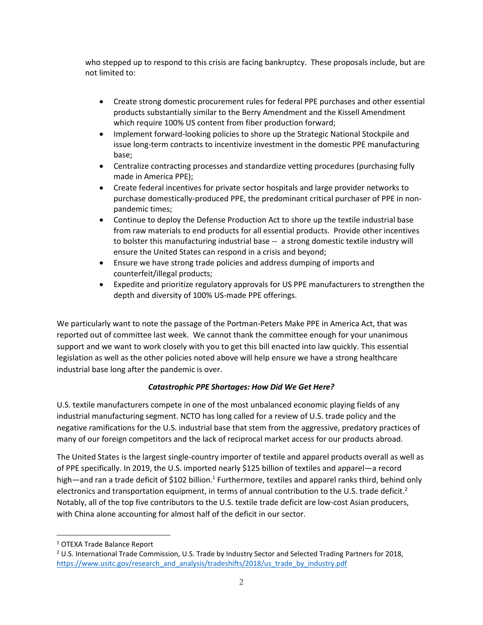who stepped up to respond to this crisis are facing bankruptcy. These proposals include, but are not limited to:

- Create strong domestic procurement rules for federal PPE purchases and other essential products substantially similar to the Berry Amendment and the Kissell Amendment which require 100% US content from fiber production forward;
- Implement forward-looking policies to shore up the Strategic National Stockpile and issue long-term contracts to incentivize investment in the domestic PPE manufacturing base;
- Centralize contracting processes and standardize vetting procedures (purchasing fully made in America PPE);
- Create federal incentives for private sector hospitals and large provider networks to purchase domestically-produced PPE, the predominant critical purchaser of PPE in nonpandemic times;
- Continue to deploy the Defense Production Act to shore up the textile industrial base from raw materials to end products for all essential products. Provide other incentives to bolster this manufacturing industrial base -- a strong domestic textile industry will ensure the United States can respond in a crisis and beyond;
- Ensure we have strong trade policies and address dumping of imports and counterfeit/illegal products;
- Expedite and prioritize regulatory approvals for US PPE manufacturers to strengthen the depth and diversity of 100% US-made PPE offerings.

We particularly want to note the passage of the Portman-Peters Make PPE in America Act, that was reported out of committee last week. We cannot thank the committee enough for your unanimous support and we want to work closely with you to get this bill enacted into law quickly. This essential legislation as well as the other policies noted above will help ensure we have a strong healthcare industrial base long after the pandemic is over.

## *Catastrophic PPE Shortages: How Did We Get Here?*

U.S. textile manufacturers compete in one of the most unbalanced economic playing fields of any industrial manufacturing segment. NCTO has long called for a review of U.S. trade policy and the negative ramifications for the U.S. industrial base that stem from the aggressive, predatory practices of many of our foreign competitors and the lack of reciprocal market access for our products abroad.

The United States is the largest single-country importer of textile and apparel products overall as well as of PPE specifically. In 2019, the U.S. imported nearly \$125 billion of textiles and apparel—a record high—and ran a trade deficit of \$102 billion.<sup>1</sup> Furthermore, textiles and apparel ranks third, behind only electronics and transportation equipment, in terms of annual contribution to the U.S. trade deficit.<sup>2</sup> Notably, all of the top five contributors to the U.S. textile trade deficit are low-cost Asian producers, with China alone accounting for almost half of the deficit in our sector.

<sup>1</sup> OTEXA Trade Balance Report

 $2$  U.S. International Trade Commission, U.S. Trade by Industry Sector and Selected Trading Partners for 2018, [https://www.usitc.gov/research\\_and\\_analysis/tradeshifts/2018/us\\_trade\\_by\\_industry.pdf](https://www.usitc.gov/research_and_analysis/tradeshifts/2018/us_trade_by_industry.pdf)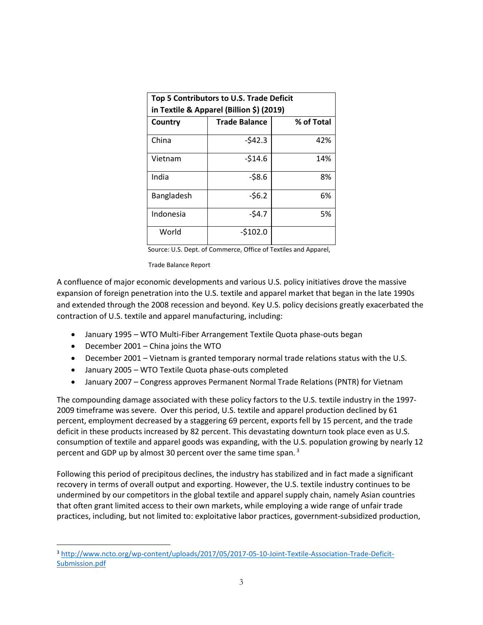| Top 5 Contributors to U.S. Trade Deficit<br>in Textile & Apparel (Billion \$) (2019) |                      |            |
|--------------------------------------------------------------------------------------|----------------------|------------|
| Country                                                                              | <b>Trade Balance</b> | % of Total |
| China                                                                                | $-542.3$             | 42%        |
| Vietnam                                                                              | $-514.6$             | 14%        |
| India                                                                                | $-58.6$              | 8%         |
| Bangladesh                                                                           | $-56.2$              | 6%         |
| Indonesia                                                                            | $-54.7$              | 5%         |
| World                                                                                | $-5102.0$            |            |

Source: U.S. Dept. of Commerce, Office of Textiles and Apparel,

Trade Balance Report

A confluence of major economic developments and various U.S. policy initiatives drove the massive expansion of foreign penetration into the U.S. textile and apparel market that began in the late 1990s and extended through the 2008 recession and beyond. Key U.S. policy decisions greatly exacerbated the contraction of U.S. textile and apparel manufacturing, including:

- January 1995 WTO Multi-Fiber Arrangement Textile Quota phase-outs began
- December 2001 China joins the WTO
- December 2001 Vietnam is granted temporary normal trade relations status with the U.S.
- January 2005 WTO Textile Quota phase-outs completed
- January 2007 Congress approves Permanent Normal Trade Relations (PNTR) for Vietnam

The compounding damage associated with these policy factors to the U.S. textile industry in the 1997- 2009 timeframe was severe. Over this period, U.S. textile and apparel production declined by 61 percent, employment decreased by a staggering 69 percent, exports fell by 15 percent, and the trade deficit in these products increased by 82 percent. This devastating downturn took place even as U.S. consumption of textile and apparel goods was expanding, with the U.S. population growing by nearly 12 percent and GDP up by almost 30 percent over the same time span.<sup>3</sup>

Following this period of precipitous declines, the industry has stabilized and in fact made a significant recovery in terms of overall output and exporting. However, the U.S. textile industry continues to be undermined by our competitors in the global textile and apparel supply chain, namely Asian countries that often grant limited access to their own markets, while employing a wide range of unfair trade practices, including, but not limited to: exploitative labor practices, government-subsidized production,

<sup>3</sup> [http://www.ncto.org/wp-content/uploads/2017/05/2017-05-10-Joint-Textile-Association-Trade-Deficit-](http://www.ncto.org/wp-content/uploads/2017/05/2017-05-10-Joint-Textile-Association-Trade-Deficit-Submission.pdf)[Submission.pdf](http://www.ncto.org/wp-content/uploads/2017/05/2017-05-10-Joint-Textile-Association-Trade-Deficit-Submission.pdf)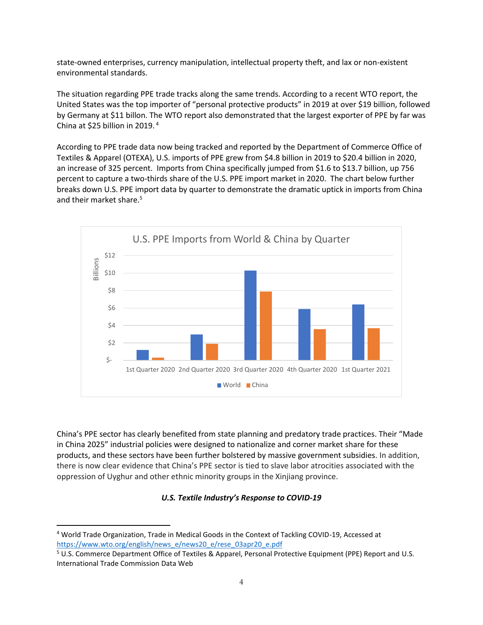state-owned enterprises, currency manipulation, intellectual property theft, and lax or non-existent environmental standards.

The situation regarding PPE trade tracks along the same trends. According to a recent WTO report, the United States was the top importer of "personal protective products" in 2019 at over \$19 billion, followed by Germany at \$11 billon. The WTO report also demonstrated that the largest exporter of PPE by far was China at \$25 billion in 2019. <sup>4</sup>

According to PPE trade data now being tracked and reported by the Department of Commerce Office of Textiles & Apparel (OTEXA), U.S. imports of PPE grew from \$4.8 billion in 2019 to \$20.4 billion in 2020, an increase of 325 percent. Imports from China specifically jumped from \$1.6 to \$13.7 billion, up 756 percent to capture a two-thirds share of the U.S. PPE import market in 2020. The chart below further breaks down U.S. PPE import data by quarter to demonstrate the dramatic uptick in imports from China and their market share.<sup>5</sup>



China's PPE sector has clearly benefited from state planning and predatory trade practices. Their "Made in China 2025" industrial policies were designed to nationalize and corner market share for these products, and these sectors have been further bolstered by massive government subsidies. In addition, there is now clear evidence that China's PPE sector is tied to slave labor atrocities associated with the oppression of Uyghur and other ethnic minority groups in the Xinjiang province.

#### *U.S. Textile Industry's Response to COVID-19*

<sup>4</sup> World Trade Organization, Trade in Medical Goods in the Context of Tackling COVID-19, Accessed at [https://www.wto.org/english/news\\_e/news20\\_e/rese\\_03apr20\\_e.pdf](https://www.wto.org/english/news_e/news20_e/rese_03apr20_e.pdf) 

<sup>5</sup> U.S. Commerce Department Office of Textiles & Apparel, Personal Protective Equipment (PPE) Report and U.S. International Trade Commission Data Web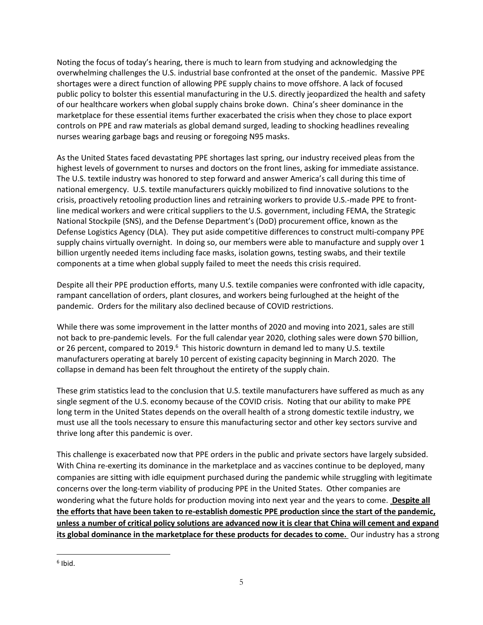Noting the focus of today's hearing, there is much to learn from studying and acknowledging the overwhelming challenges the U.S. industrial base confronted at the onset of the pandemic. Massive PPE shortages were a direct function of allowing PPE supply chains to move offshore. A lack of focused public policy to bolster this essential manufacturing in the U.S. directly jeopardized the health and safety of our healthcare workers when global supply chains broke down. China's sheer dominance in the marketplace for these essential items further exacerbated the crisis when they chose to place export controls on PPE and raw materials as global demand surged, leading to shocking headlines revealing nurses wearing garbage bags and reusing or foregoing N95 masks.

As the United States faced devastating PPE shortages last spring, our industry received pleas from the highest levels of government to nurses and doctors on the front lines, asking for immediate assistance. The U.S. textile industry was honored to step forward and answer America's call during this time of national emergency. U.S. textile manufacturers quickly mobilized to find innovative solutions to the crisis, proactively retooling production lines and retraining workers to provide U.S.-made PPE to frontline medical workers and were critical suppliers to the U.S. government, including FEMA, the Strategic National Stockpile (SNS), and the Defense Department's (DoD) procurement office, known as the Defense Logistics Agency (DLA). They put aside competitive differences to construct multi-company PPE supply chains virtually overnight. In doing so, our members were able to manufacture and supply over 1 billion urgently needed items including face masks, isolation gowns, testing swabs, and their textile components at a time when global supply failed to meet the needs this crisis required.

Despite all their PPE production efforts, many U.S. textile companies were confronted with idle capacity, rampant cancellation of orders, plant closures, and workers being furloughed at the height of the pandemic. Orders for the military also declined because of COVID restrictions.

While there was some improvement in the latter months of 2020 and moving into 2021, sales are still not back to pre-pandemic levels. For the full calendar year 2020, clothing sales were down \$70 billion, or 26 percent, compared to 2019.<sup>6</sup> This historic downturn in demand led to many U.S. textile manufacturers operating at barely 10 percent of existing capacity beginning in March 2020. The collapse in demand has been felt throughout the entirety of the supply chain.

These grim statistics lead to the conclusion that U.S. textile manufacturers have suffered as much as any single segment of the U.S. economy because of the COVID crisis. Noting that our ability to make PPE long term in the United States depends on the overall health of a strong domestic textile industry, we must use all the tools necessary to ensure this manufacturing sector and other key sectors survive and thrive long after this pandemic is over.

This challenge is exacerbated now that PPE orders in the public and private sectors have largely subsided. With China re-exerting its dominance in the marketplace and as vaccines continue to be deployed, many companies are sitting with idle equipment purchased during the pandemic while struggling with legitimate concerns over the long-term viability of producing PPE in the United States. Other companies are wondering what the future holds for production moving into next year and the years to come. **Despite all the efforts that have been taken to re-establish domestic PPE production since the start of the pandemic, unless a number of critical policy solutions are advanced now it is clear that China will cement and expand its global dominance in the marketplace for these products for decades to come.** Our industry has a strong

<sup>6</sup> Ibid.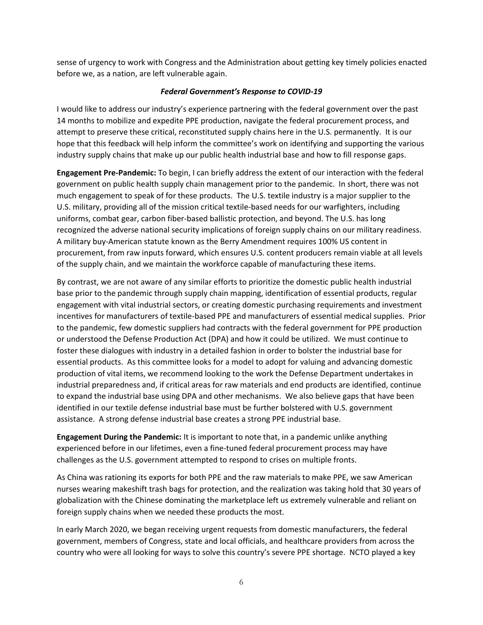sense of urgency to work with Congress and the Administration about getting key timely policies enacted before we, as a nation, are left vulnerable again.

## *Federal Government's Response to COVID-19*

I would like to address our industry's experience partnering with the federal government over the past 14 months to mobilize and expedite PPE production, navigate the federal procurement process, and attempt to preserve these critical, reconstituted supply chains here in the U.S. permanently. It is our hope that this feedback will help inform the committee's work on identifying and supporting the various industry supply chains that make up our public health industrial base and how to fill response gaps.

**Engagement Pre-Pandemic:** To begin, I can briefly address the extent of our interaction with the federal government on public health supply chain management prior to the pandemic. In short, there was not much engagement to speak of for these products. The U.S. textile industry is a major supplier to the U.S. military, providing all of the mission critical textile-based needs for our warfighters, including uniforms, combat gear, carbon fiber-based ballistic protection, and beyond. The U.S. has long recognized the adverse national security implications of foreign supply chains on our military readiness. A military buy-American statute known as the Berry Amendment requires 100% US content in procurement, from raw inputs forward, which ensures U.S. content producers remain viable at all levels of the supply chain, and we maintain the workforce capable of manufacturing these items.

By contrast, we are not aware of any similar efforts to prioritize the domestic public health industrial base prior to the pandemic through supply chain mapping, identification of essential products, regular engagement with vital industrial sectors, or creating domestic purchasing requirements and investment incentives for manufacturers of textile-based PPE and manufacturers of essential medical supplies. Prior to the pandemic, few domestic suppliers had contracts with the federal government for PPE production or understood the Defense Production Act (DPA) and how it could be utilized. We must continue to foster these dialogues with industry in a detailed fashion in order to bolster the industrial base for essential products. As this committee looks for a model to adopt for valuing and advancing domestic production of vital items, we recommend looking to the work the Defense Department undertakes in industrial preparedness and, if critical areas for raw materials and end products are identified, continue to expand the industrial base using DPA and other mechanisms. We also believe gaps that have been identified in our textile defense industrial base must be further bolstered with U.S. government assistance. A strong defense industrial base creates a strong PPE industrial base.

**Engagement During the Pandemic:** It is important to note that, in a pandemic unlike anything experienced before in our lifetimes, even a fine-tuned federal procurement process may have challenges as the U.S. government attempted to respond to crises on multiple fronts.

As China was rationing its exports for both PPE and the raw materials to make PPE, we saw American nurses wearing makeshift trash bags for protection, and the realization was taking hold that 30 years of globalization with the Chinese dominating the marketplace left us extremely vulnerable and reliant on foreign supply chains when we needed these products the most.

In early March 2020, we began receiving urgent requests from domestic manufacturers, the federal government, members of Congress, state and local officials, and healthcare providers from across the country who were all looking for ways to solve this country's severe PPE shortage. NCTO played a key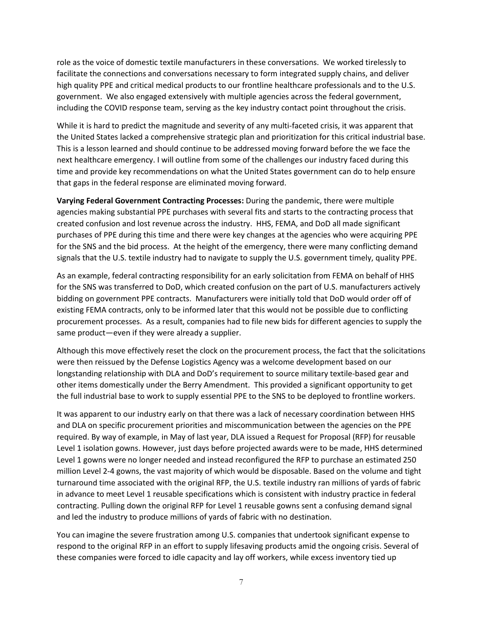role as the voice of domestic textile manufacturers in these conversations. We worked tirelessly to facilitate the connections and conversations necessary to form integrated supply chains, and deliver high quality PPE and critical medical products to our frontline healthcare professionals and to the U.S. government. We also engaged extensively with multiple agencies across the federal government, including the COVID response team, serving as the key industry contact point throughout the crisis.

While it is hard to predict the magnitude and severity of any multi-faceted crisis, it was apparent that the United States lacked a comprehensive strategic plan and prioritization for this critical industrial base. This is a lesson learned and should continue to be addressed moving forward before the we face the next healthcare emergency. I will outline from some of the challenges our industry faced during this time and provide key recommendations on what the United States government can do to help ensure that gaps in the federal response are eliminated moving forward.

**Varying Federal Government Contracting Processes:** During the pandemic, there were multiple agencies making substantial PPE purchases with several fits and starts to the contracting process that created confusion and lost revenue across the industry. HHS, FEMA, and DoD all made significant purchases of PPE during this time and there were key changes at the agencies who were acquiring PPE for the SNS and the bid process. At the height of the emergency, there were many conflicting demand signals that the U.S. textile industry had to navigate to supply the U.S. government timely, quality PPE.

As an example, federal contracting responsibility for an early solicitation from FEMA on behalf of HHS for the SNS was transferred to DoD, which created confusion on the part of U.S. manufacturers actively bidding on government PPE contracts. Manufacturers were initially told that DoD would order off of existing FEMA contracts, only to be informed later that this would not be possible due to conflicting procurement processes. As a result, companies had to file new bids for different agencies to supply the same product—even if they were already a supplier.

Although this move effectively reset the clock on the procurement process, the fact that the solicitations were then reissued by the Defense Logistics Agency was a welcome development based on our longstanding relationship with DLA and DoD's requirement to source military textile-based gear and other items domestically under the Berry Amendment. This provided a significant opportunity to get the full industrial base to work to supply essential PPE to the SNS to be deployed to frontline workers.

It was apparent to our industry early on that there was a lack of necessary coordination between HHS and DLA on specific procurement priorities and miscommunication between the agencies on the PPE required. By way of example, in May of last year, DLA issued a Request for Proposal (RFP) for reusable Level 1 isolation gowns. However, just days before projected awards were to be made, HHS determined Level 1 gowns were no longer needed and instead reconfigured the RFP to purchase an estimated 250 million Level 2-4 gowns, the vast majority of which would be disposable. Based on the volume and tight turnaround time associated with the original RFP, the U.S. textile industry ran millions of yards of fabric in advance to meet Level 1 reusable specifications which is consistent with industry practice in federal contracting. Pulling down the original RFP for Level 1 reusable gowns sent a confusing demand signal and led the industry to produce millions of yards of fabric with no destination.

You can imagine the severe frustration among U.S. companies that undertook significant expense to respond to the original RFP in an effort to supply lifesaving products amid the ongoing crisis. Several of these companies were forced to idle capacity and lay off workers, while excess inventory tied up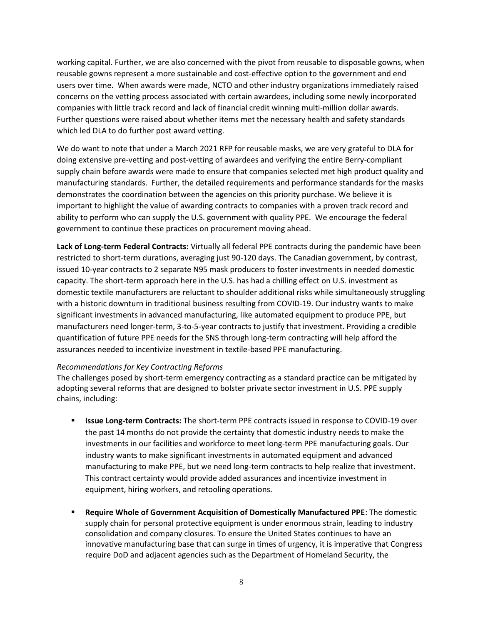working capital. Further, we are also concerned with the pivot from reusable to disposable gowns, when reusable gowns represent a more sustainable and cost-effective option to the government and end users over time. When awards were made, NCTO and other industry organizations immediately raised concerns on the vetting process associated with certain awardees, including some newly incorporated companies with little track record and lack of financial credit winning multi-million dollar awards. Further questions were raised about whether items met the necessary health and safety standards which led DLA to do further post award vetting.

We do want to note that under a March 2021 RFP for reusable masks, we are very grateful to DLA for doing extensive pre-vetting and post-vetting of awardees and verifying the entire Berry-compliant supply chain before awards were made to ensure that companies selected met high product quality and manufacturing standards. Further, the detailed requirements and performance standards for the masks demonstrates the coordination between the agencies on this priority purchase. We believe it is important to highlight the value of awarding contracts to companies with a proven track record and ability to perform who can supply the U.S. government with quality PPE. We encourage the federal government to continue these practices on procurement moving ahead.

**Lack of Long-term Federal Contracts:** Virtually all federal PPE contracts during the pandemic have been restricted to short-term durations, averaging just 90-120 days. The Canadian government, by contrast, issued 10-year contracts to 2 separate N95 mask producers to foster investments in needed domestic capacity. The short-term approach here in the U.S. has had a chilling effect on U.S. investment as domestic textile manufacturers are reluctant to shoulder additional risks while simultaneously struggling with a historic downturn in traditional business resulting from COVID-19. Our industry wants to make significant investments in advanced manufacturing, like automated equipment to produce PPE, but manufacturers need longer-term, 3-to-5-year contracts to justify that investment. Providing a credible quantification of future PPE needs for the SNS through long-term contracting will help afford the assurances needed to incentivize investment in textile-based PPE manufacturing.

## *Recommendations for Key Contracting Reforms*

The challenges posed by short-term emergency contracting as a standard practice can be mitigated by adopting several reforms that are designed to bolster private sector investment in U.S. PPE supply chains, including:

- **EXECT:** Issue Long-term Contracts: The short-term PPE contracts issued in response to COVID-19 over the past 14 months do not provide the certainty that domestic industry needs to make the investments in our facilities and workforce to meet long-term PPE manufacturing goals. Our industry wants to make significant investments in automated equipment and advanced manufacturing to make PPE, but we need long-term contracts to help realize that investment. This contract certainty would provide added assurances and incentivize investment in equipment, hiring workers, and retooling operations.
- **Require Whole of Government Acquisition of Domestically Manufactured PPE: The domestic** supply chain for personal protective equipment is under enormous strain, leading to industry consolidation and company closures. To ensure the United States continues to have an innovative manufacturing base that can surge in times of urgency, it is imperative that Congress require DoD and adjacent agencies such as the Department of Homeland Security, the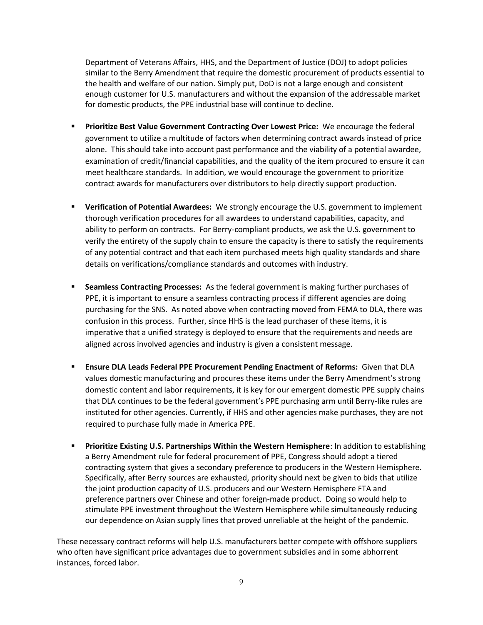Department of Veterans Affairs, HHS, and the Department of Justice (DOJ) to adopt policies similar to the Berry Amendment that require the domestic procurement of products essential to the health and welfare of our nation. Simply put, DoD is not a large enough and consistent enough customer for U.S. manufacturers and without the expansion of the addressable market for domestic products, the PPE industrial base will continue to decline.

- **EXEDENT PRIORITY PRIOR IS 20 YOM THE PRIORITY PRIORITY PRIORITY PRIORITY PRIORITY PRIORITY PRIORITY PRIORITY PRIORITY PRIORITY PRIORITY PRIORITY PRIORITY PRIORITY PRIORITY PRIORITY PRIORITY PRIORITY PRIORITY PRIORITY PRIO** government to utilize a multitude of factors when determining contract awards instead of price alone. This should take into account past performance and the viability of a potential awardee, examination of credit/financial capabilities, and the quality of the item procured to ensure it can meet healthcare standards. In addition, we would encourage the government to prioritize contract awards for manufacturers over distributors to help directly support production.
- **Verification of Potential Awardees:** We strongly encourage the U.S. government to implement thorough verification procedures for all awardees to understand capabilities, capacity, and ability to perform on contracts. For Berry-compliant products, we ask the U.S. government to verify the entirety of the supply chain to ensure the capacity is there to satisfy the requirements of any potential contract and that each item purchased meets high quality standards and share details on verifications/compliance standards and outcomes with industry.
- **Seamless Contracting Processes:** As the federal government is making further purchases of PPE, it is important to ensure a seamless contracting process if different agencies are doing purchasing for the SNS. As noted above when contracting moved from FEMA to DLA, there was confusion in this process. Further, since HHS is the lead purchaser of these items, it is imperative that a unified strategy is deployed to ensure that the requirements and needs are aligned across involved agencies and industry is given a consistent message.
- **E** Ensure DLA Leads Federal PPE Procurement Pending Enactment of Reforms: Given that DLA values domestic manufacturing and procures these items under the Berry Amendment's strong domestic content and labor requirements, it is key for our emergent domestic PPE supply chains that DLA continues to be the federal government's PPE purchasing arm until Berry-like rules are instituted for other agencies. Currently, if HHS and other agencies make purchases, they are not required to purchase fully made in America PPE.
- **Prioritize Existing U.S. Partnerships Within the Western Hemisphere**: In addition to establishing a Berry Amendment rule for federal procurement of PPE, Congress should adopt a tiered contracting system that gives a secondary preference to producers in the Western Hemisphere. Specifically, after Berry sources are exhausted, priority should next be given to bids that utilize the joint production capacity of U.S. producers and our Western Hemisphere FTA and preference partners over Chinese and other foreign-made product. Doing so would help to stimulate PPE investment throughout the Western Hemisphere while simultaneously reducing our dependence on Asian supply lines that proved unreliable at the height of the pandemic.

These necessary contract reforms will help U.S. manufacturers better compete with offshore suppliers who often have significant price advantages due to government subsidies and in some abhorrent instances, forced labor.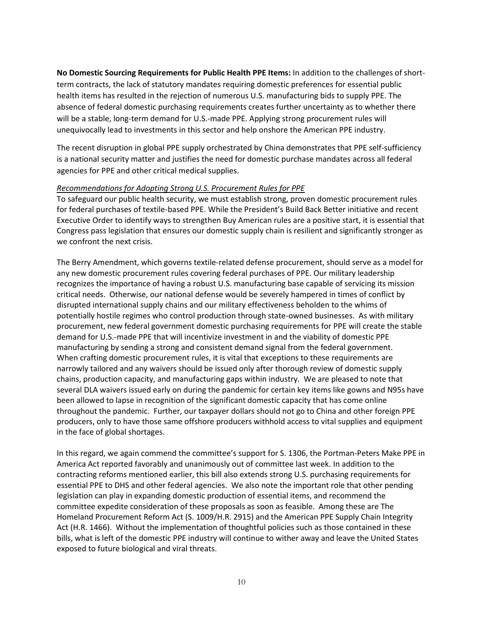**No Domestic Sourcing Requirements for Public Health PPE Items:** In addition to the challenges of shortterm contracts, the lack of statutory mandates requiring domestic preferences for essential public health items has resulted in the rejection of numerous U.S. manufacturing bids to supply PPE. The absence of federal domestic purchasing requirements creates further uncertainty as to whether there will be a stable, long-term demand for U.S.-made PPE. Applying strong procurement rules will unequivocally lead to investments in this sector and help onshore the American PPE industry.

The recent disruption in global PPE supply orchestrated by China demonstrates that PPE self-sufficiency is a national security matter and justifies the need for domestic purchase mandates across all federal agencies for PPE and other critical medical supplies.

#### *Recommendations for Adopting Strong U.S. Procurement Rules for PPE*

To safeguard our public health security, we must establish strong, proven domestic procurement rules for federal purchases of textile-based PPE. While the President's Build Back Better initiative and recent Executive Order to identify ways to strengthen Buy American rules are a positive start, it is essential that Congress pass legislation that ensures our domestic supply chain is resilient and significantly stronger as we confront the next crisis.

The Berry Amendment, which governs textile-related defense procurement, should serve as a model for any new domestic procurement rules covering federal purchases of PPE. Our military leadership recognizes the importance of having a robust U.S. manufacturing base capable of servicing its mission critical needs. Otherwise, our national defense would be severely hampered in times of conflict by disrupted international supply chains and our military effectiveness beholden to the whims of potentially hostile regimes who control production through state-owned businesses. As with military procurement, new federal government domestic purchasing requirements for PPE will create the stable demand for U.S.-made PPE that will incentivize investment in and the viability of domestic PPE manufacturing by sending a strong and consistent demand signal from the federal government. When crafting domestic procurement rules, it is vital that exceptions to these requirements are narrowly tailored and any waivers should be issued only after thorough review of domestic supply chains, production capacity, and manufacturing gaps within industry. We are pleased to note that several DLA waivers issued early on during the pandemic for certain key items like gowns and N95s have been allowed to lapse in recognition of the significant domestic capacity that has come online throughout the pandemic. Further, our taxpayer dollars should not go to China and other foreign PPE producers, only to have those same offshore producers withhold access to vital supplies and equipment in the face of global shortages.

In this regard, we again commend the committee's support for S. 1306, the Portman-Peters Make PPE in America Act reported favorably and unanimously out of committee last week. In addition to the contracting reforms mentioned earlier, this bill also extends strong U.S. purchasing requirements for essential PPE to DHS and other federal agencies. We also note the important role that other pending legislation can play in expanding domestic production of essential items, and recommend the committee expedite consideration of these proposals as soon as feasible. Among these are The Homeland Procurement Reform Act (S. 1009/H.R. 2915) and the American PPE Supply Chain Integrity Act (H.R. 1466). Without the implementation of thoughtful policies such as those contained in these bills, what is left of the domestic PPE industry will continue to wither away and leave the United States exposed to future biological and viral threats.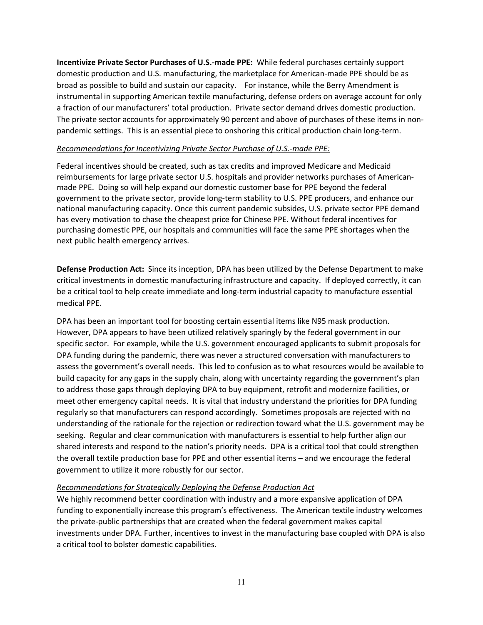**Incentivize Private Sector Purchases of U.S.-made PPE:**While federal purchases certainly support domestic production and U.S. manufacturing, the marketplace for American-made PPE should be as broad as possible to build and sustain our capacity. For instance, while the Berry Amendment is instrumental in supporting American textile manufacturing, defense orders on average account for only a fraction of our manufacturers' total production. Private sector demand drives domestic production. The private sector accounts for approximately 90 percent and above of purchases of these items in nonpandemic settings. This is an essential piece to onshoring this critical production chain long-term.

#### *Recommendations for Incentivizing Private Sector Purchase of U.S.-made PPE:*

Federal incentives should be created, such as tax credits and improved Medicare and Medicaid reimbursements for large private sector U.S. hospitals and provider networks purchases of Americanmade PPE. Doing so will help expand our domestic customer base for PPE beyond the federal government to the private sector, provide long-term stability to U.S. PPE producers, and enhance our national manufacturing capacity. Once this current pandemic subsides, U.S. private sector PPE demand has every motivation to chase the cheapest price for Chinese PPE. Without federal incentives for purchasing domestic PPE, our hospitals and communities will face the same PPE shortages when the next public health emergency arrives.

**Defense Production Act:** Since its inception, DPA has been utilized by the Defense Department to make critical investments in domestic manufacturing infrastructure and capacity. If deployed correctly, it can be a critical tool to help create immediate and long-term industrial capacity to manufacture essential medical PPE.

DPA has been an important tool for boosting certain essential items like N95 mask production. However, DPA appears to have been utilized relatively sparingly by the federal government in our specific sector. For example, while the U.S. government encouraged applicants to submit proposals for DPA funding during the pandemic, there was never a structured conversation with manufacturers to assess the government's overall needs. This led to confusion as to what resources would be available to build capacity for any gaps in the supply chain, along with uncertainty regarding the government's plan to address those gaps through deploying DPA to buy equipment, retrofit and modernize facilities, or meet other emergency capital needs. It is vital that industry understand the priorities for DPA funding regularly so that manufacturers can respond accordingly. Sometimes proposals are rejected with no understanding of the rationale for the rejection or redirection toward what the U.S. government may be seeking. Regular and clear communication with manufacturers is essential to help further align our shared interests and respond to the nation's priority needs. DPA is a critical tool that could strengthen the overall textile production base for PPE and other essential items – and we encourage the federal government to utilize it more robustly for our sector.

## *Recommendations for Strategically Deploying the Defense Production Act*

We highly recommend better coordination with industry and a more expansive application of DPA funding to exponentially increase this program's effectiveness. The American textile industry welcomes the private-public partnerships that are created when the federal government makes capital investments under DPA. Further, incentives to invest in the manufacturing base coupled with DPA is also a critical tool to bolster domestic capabilities.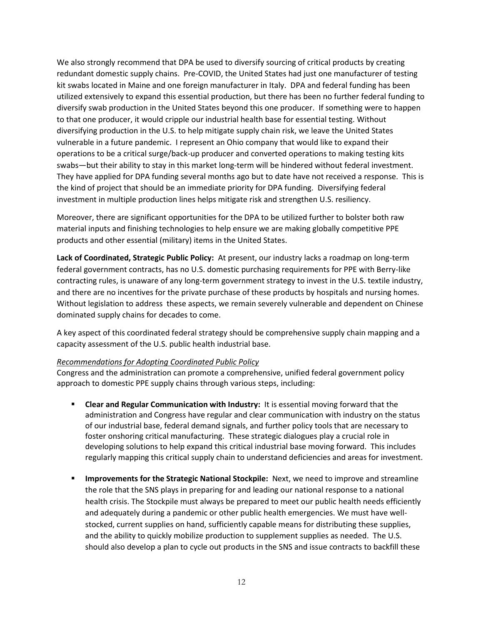We also strongly recommend that DPA be used to diversify sourcing of critical products by creating redundant domestic supply chains. Pre-COVID, the United States had just one manufacturer of testing kit swabs located in Maine and one foreign manufacturer in Italy. DPA and federal funding has been utilized extensively to expand this essential production, but there has been no further federal funding to diversify swab production in the United States beyond this one producer. If something were to happen to that one producer, it would cripple our industrial health base for essential testing. Without diversifying production in the U.S. to help mitigate supply chain risk, we leave the United States vulnerable in a future pandemic. I represent an Ohio company that would like to expand their operations to be a critical surge/back-up producer and converted operations to making testing kits swabs—but their ability to stay in this market long-term will be hindered without federal investment. They have applied for DPA funding several months ago but to date have not received a response. This is the kind of project that should be an immediate priority for DPA funding. Diversifying federal investment in multiple production lines helps mitigate risk and strengthen U.S. resiliency.

Moreover, there are significant opportunities for the DPA to be utilized further to bolster both raw material inputs and finishing technologies to help ensure we are making globally competitive PPE products and other essential (military) items in the United States.

**Lack of Coordinated, Strategic Public Policy:** At present, our industry lacks a roadmap on long-term federal government contracts, has no U.S. domestic purchasing requirements for PPE with Berry-like contracting rules, is unaware of any long-term government strategy to invest in the U.S. textile industry, and there are no incentives for the private purchase of these products by hospitals and nursing homes. Without legislation to address these aspects, we remain severely vulnerable and dependent on Chinese dominated supply chains for decades to come.

A key aspect of this coordinated federal strategy should be comprehensive supply chain mapping and a capacity assessment of the U.S. public health industrial base.

## *Recommendations for Adopting Coordinated Public Policy*

Congress and the administration can promote a comprehensive, unified federal government policy approach to domestic PPE supply chains through various steps, including:

- **EXECT** Clear and Regular Communication with Industry: It is essential moving forward that the administration and Congress have regular and clear communication with industry on the status of our industrial base, federal demand signals, and further policy tools that are necessary to foster onshoring critical manufacturing. These strategic dialogues play a crucial role in developing solutions to help expand this critical industrial base moving forward. This includes regularly mapping this critical supply chain to understand deficiencies and areas for investment.
- **EXED Improvements for the Strategic National Stockpile:** Next, we need to improve and streamline the role that the SNS plays in preparing for and leading our national response to a national health crisis. The Stockpile must always be prepared to meet our public health needs efficiently and adequately during a pandemic or other public health emergencies. We must have wellstocked, current supplies on hand, sufficiently capable means for distributing these supplies, and the ability to quickly mobilize production to supplement supplies as needed. The U.S. should also develop a plan to cycle out products in the SNS and issue contracts to backfill these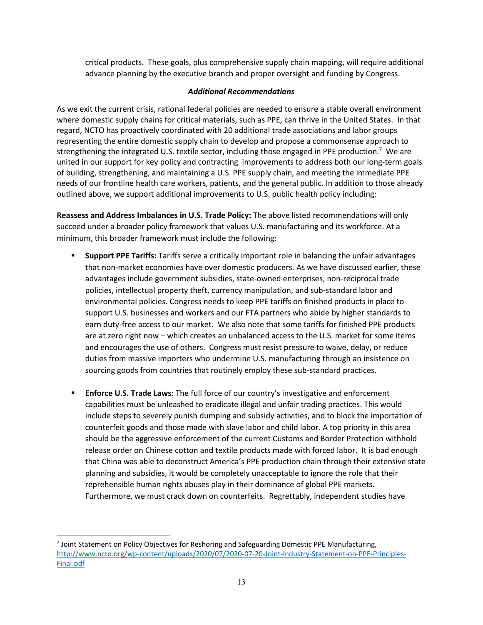critical products. These goals, plus comprehensive supply chain mapping, will require additional advance planning by the executive branch and proper oversight and funding by Congress.

## *Additional Recommendations*

As we exit the current crisis, rational federal policies are needed to ensure a stable overall environment where domestic supply chains for critical materials, such as PPE, can thrive in the United States. In that regard, NCTO has proactively coordinated with 20 additional trade associations and labor groups representing the entire domestic supply chain to develop and propose a commonsense approach to strengthening the integrated U.S. textile sector, including those engaged in PPE production.<sup>7</sup> We are united in our support for key policy and contracting improvements to address both our long-term goals of building, strengthening, and maintaining a U.S. PPE supply chain, and meeting the immediate PPE needs of our frontline health care workers, patients, and the general public. In addition to those already outlined above, we support additional improvements to U.S. public health policy including:

**Reassess and Address Imbalances in U.S. Trade Policy:** The above listed recommendations will only succeed under a broader policy framework that values U.S. manufacturing and its workforce. At a minimum, this broader framework must include the following:

- **Support PPE Tariffs:** Tariffs serve a critically important role in balancing the unfair advantages that non-market economies have over domestic producers. As we have discussed earlier, these advantages include government subsidies, state-owned enterprises, non-reciprocal trade policies, intellectual property theft, currency manipulation, and sub-standard labor and environmental policies. Congress needs to keep PPE tariffs on finished products in place to support U.S. businesses and workers and our FTA partners who abide by higher standards to earn duty-free access to our market. We also note that some tariffs for finished PPE products are at zero right now – which creates an unbalanced access to the U.S. market for some items and encourages the use of others. Congress must resist pressure to waive, delay, or reduce duties from massive importers who undermine U.S. manufacturing through an insistence on sourcing goods from countries that routinely employ these sub-standard practices.
- **Enforce U.S. Trade Laws:** The full force of our country's investigative and enforcement capabilities must be unleashed to eradicate illegal and unfair trading practices. This would include steps to severely punish dumping and subsidy activities, and to block the importation of counterfeit goods and those made with slave labor and child labor. A top priority in this area should be the aggressive enforcement of the current Customs and Border Protection withhold release order on Chinese cotton and textile products made with forced labor. It is bad enough that China was able to deconstruct America's PPE production chain through their extensive state planning and subsidies, it would be completely unacceptable to ignore the role that their reprehensible human rights abuses play in their dominance of global PPE markets. Furthermore, we must crack down on counterfeits. Regrettably, independent studies have

<sup>7</sup> Joint Statement on Policy Objectives for Reshoring and Safeguarding Domestic PPE Manufacturing, [http://www.ncto.org/wp-content/uploads/2020/07/2020-07-20-Joint-Industry-Statement-on-PPE-Principles-](http://www.ncto.org/wp-content/uploads/2020/07/2020-07-20-Joint-Industry-Statement-on-PPE-Principles-Final.pdf)[Final.pdf](http://www.ncto.org/wp-content/uploads/2020/07/2020-07-20-Joint-Industry-Statement-on-PPE-Principles-Final.pdf)